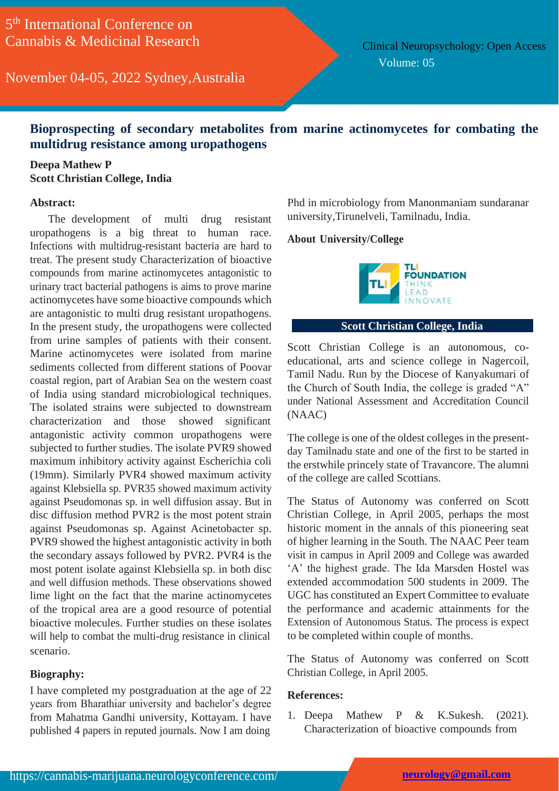November 04-05, 2022 Sydney,Australia

Clinical Neuropsychology: Open Access Volume: 05

## **Bioprospecting of secondary metabolites from marine actinomycetes for combating the multidrug resistance among uropathogens**

### **Deepa Mathew P Scott Christian College, India**

#### **Abstract:**

The development of multi drug resistant uropathogens is a big threat to human race. Infections with multidrug-resistant bacteria are hard to treat. The present study Characterization of bioactive compounds from marine actinomycetes antagonistic to urinary tract bacterial pathogens is aims to prove marine actinomycetes have some bioactive compounds which are antagonistic to multi drug resistant uropathogens. In the present study, the uropathogens were collected from urine samples of patients with their consent. Marine actinomycetes were isolated from marine sediments collected from different stations of Poovar coastal region, part of Arabian Sea on the western coast of India using standard microbiological techniques. The isolated strains were subjected to downstream characterization and those showed significant antagonistic activity common uropathogens were subjected to further studies. The isolate PVR9 showed maximum inhibitory activity against Escherichia coli (19mm). Similarly PVR4 showed maximum activity against Klebsiella sp. PVR35 showed maximum activity against Pseudomonas sp. in well diffusion assay. But in disc diffusion method PVR2 is the most potent strain against Pseudomonas sp. Against Acinetobacter sp. PVR9 showed the highest antagonistic activity in both the secondary assays followed by PVR2. PVR4 is the most potent isolate against Klebsiella sp. in both disc and well diffusion methods. These observations showed lime light on the fact that the marine actinomycetes of the tropical area are a good resource of potential bioactive molecules. Further studies on these isolates will help to combat the multi-drug resistance in clinical scenario.

#### **Biography:**

I have completed my postgraduation at the age of 22 years from Bharathiar university and bachelor's degree from Mahatma Gandhi university, Kottayam. I have published 4 papers in reputed journals. Now I am doing

Phd in microbiology from Manonmaniam sundaranar university,Tirunelveli, Tamilnadu, India.

#### **About University/College**



#### **Scott Christian College, India**

Scott Christian College is an autonomous, coeducational, arts and science college in Nagercoil, Tamil Nadu. Run by the Diocese of Kanyakumari of the Church of South India, the college is graded "A" under National Assessment and Accreditation Council (NAAC)

The college is one of the oldest colleges in the presentday Tamilnadu state and one of the first to be started in the erstwhile princely state of Travancore. The alumni of the college are called Scottians.

The Status of Autonomy was conferred on Scott Christian College, in April 2005, perhaps the most historic moment in the annals of this pioneering seat of higher learning in the South. The NAAC Peer team visit in campus in April 2009 and College was awarded 'A' the highest grade. The Ida Marsden Hostel was extended accommodation 500 students in 2009. The UGC has constituted an Expert Committee to evaluate the performance and academic attainments for the Extension of Autonomous Status. The process is expect to be completed within couple of months.

The Status of Autonomy was conferred on Scott Christian College, in April 2005.

#### **References:**

1. Deepa Mathew P & K.Sukesh. (2021). Characterization of bioactive compounds from